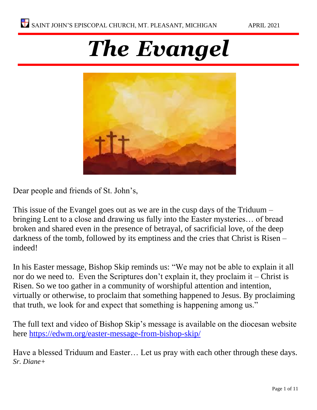# *The Evangel*



Dear people and friends of St. John's,

This issue of the Evangel goes out as we are in the cusp days of the Triduum – bringing Lent to a close and drawing us fully into the Easter mysteries… of bread broken and shared even in the presence of betrayal, of sacrificial love, of the deep darkness of the tomb, followed by its emptiness and the cries that Christ is Risen – indeed!

In his Easter message, Bishop Skip reminds us: "We may not be able to explain it all nor do we need to. Even the Scriptures don't explain it, they proclaim it – Christ is Risen. So we too gather in a community of worshipful attention and intention, virtually or otherwise, to proclaim that something happened to Jesus. By proclaiming that truth, we look for and expect that something is happening among us."

The full text and video of Bishop Skip's message is available on the diocesan website here<https://edwm.org/easter-message-from-bishop-skip/>

Have a blessed Triduum and Easter… Let us pray with each other through these days. *Sr. Diane+*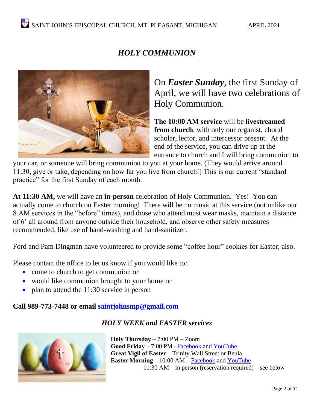## *HOLY COMMUNION*



On *Easter Sunday*, the first Sunday of April, we will have two celebrations of Holy Communion.

**The 10:00 AM service** will be **livestreamed from church**, with only our organist, choral scholar, lector, and intercessor present. At the end of the service, you can drive up at the entrance to church and I will bring communion to

your car, or someone will bring communion to you at your home. (They would arrive around 11:30, give or take, depending on how far you live from church!) This is our current "standard practice" for the first Sunday of each month.

**At 11:30 AM,** we will have an **in-person** celebration of Holy Communion. Yes! You can actually come to church on Easter morning! There will be no music at this service (not unlike our 8 AM services in the "before" times), and those who attend must wear masks, maintain a distance of 6' all around from anyone outside their household, and observe other safety measures recommended, like use of hand-washing and hand-sanitizer.

Ford and Pam Dingman have volunteered to provide some "coffee hour" cookies for Easter, also.

Please contact the office to let us know if you would like to:

- come to church to get communion or
- would like communion brought to your home or
- plan to attend the 11:30 service in person

#### **Call 989-773-7448 or email saintjohnsmp@gmail.com**

#### *HOLY WEEK and EASTER services*



**Holy Thursday** – 7:00 PM – Zoom **Good Friday** – 7:00 PM [–Facebook](https://www.facebook.com/St-Johns-Mount-Pleasant-160189840686505/) and [YouTube](https://www.youtube.com/channel/UCqvBWSJZnVQHBDdRtL0OpoQ) **Great Vigil of Easter** – Trinity Wall Street or Beula **Easter Morning** – 10:00 AM – [Facebook](https://www.facebook.com/St-Johns-Mount-Pleasant-160189840686505/) and [YouTube](https://www.youtube.com/channel/UCqvBWSJZnVQHBDdRtL0OpoQ)  $11:30$  AM – in person (reservation required) – see below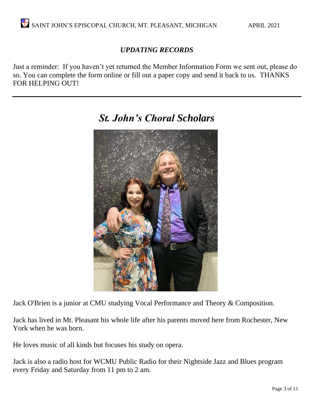#### *UPDATING RECORDS*

Just a reminder: If you haven't yet returned the Member Information Form we sent out, please do so. You can complete the form online or fill out a paper copy and send it back to us. THANKS FOR HELPING OUT!



# *St. John's Choral Scholars*

Jack O'Brien is a junior at CMU studying Vocal Performance and Theory & Composition.

Jack has lived in Mt. Pleasant his whole life after his parents moved here from Rochester, New York when he was born.

He loves music of all kinds but focuses his study on opera.

Jack is also a radio host for WCMU Public Radio for their Nightside Jazz and Blues program every Friday and Saturday from 11 pm to 2 am.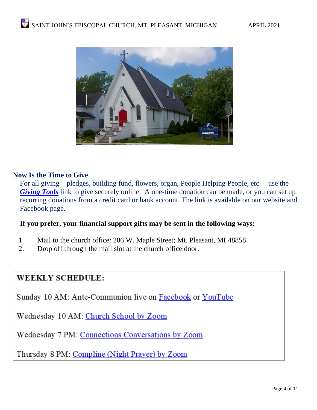

#### **Now Is the Time to Give**

For all giving – pledges, building fund, flowers, organ, People Helping People, etc. – use the *[Giving Tools](https://stjohnsmtpleasantmi.gvtls.com/)* link to give securely online. A one-time donation can be made, or you can set up recurring donations from a credit card or bank account. The link is available on our website and Facebook page.

#### **If you prefer, your financial support gifts may be sent in the following ways:**

- 1 Mail to the church office: 206 W. Maple Street; Mt. Pleasant, MI 48858
- 2. Drop off through the mail slot at the church office door.

#### **WEEKLY SCHEDULE:**

Sunday 10 AM: Ante-Communion live on Facebook or YouTube

Wednesday 10 AM: Church School by Zoom

Wednesday 7 PM: Connections Conversations by Zoom

Thursday 8 PM: Compline (Night Prayer) by Zoom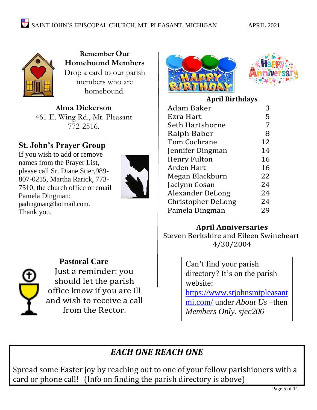

**Remember Our Homebound Members**  Drop a card to our parish members who are homebound.

**Alma Dickerson** 461 E. Wing Rd., Mt. Pleasant 772-2516.

## **St. John's Prayer Group**

If you wish to add or remove names from the Prayer List, please call Sr. Diane Stier,989- 807-0215, Martha Rarick, 773- 7510, the church office or email Pamela Dingman: [padingman@hotmail.com.](mailto:padingman@hotmail.com) Thank you.





**Pastoral Care** Just a reminder: you should let the parish office know if you are ill and wish to receive a call from the Rector.





#### **April Birthd[ays](https://amommasview.wordpress.com/2017/04/10/tell-me-something-good-53/)**

| <b>Adam Baker</b>         | 3  |
|---------------------------|----|
| Ezra Hart                 | 5  |
| Seth Hartshorne           | 7  |
| Ralph Baber               | 8  |
| <b>Tom Cochrane</b>       | 12 |
| Jennifer Dingman          | 14 |
| <b>Henry Fulton</b>       | 16 |
| Arden Hart                | 16 |
| Megan Blackburn           | 22 |
| Jaclynn Cosan             | 24 |
| <b>Alexander DeLong</b>   | 24 |
| <b>Christopher DeLong</b> | 24 |
| Pamela Dingman            | 29 |

#### **April Anniversaries**

Steven Berkshire and Eileen Swineheart 4/30/2004

> Can't find your parish directory? It's on the parish website:

[https://www.stjohnsmtpleasant](https://www.stjohnsmtpleasantmi.com/) [mi.com/](https://www.stjohnsmtpleasantmi.com/) under *About Us –*then *Members Only. sjec206*

# *EACH ONE REACH ONE*

Spread some Easter joy by reaching out to one of your fellow parishioners with a card or phone call! (Info on finding the parish directory is above)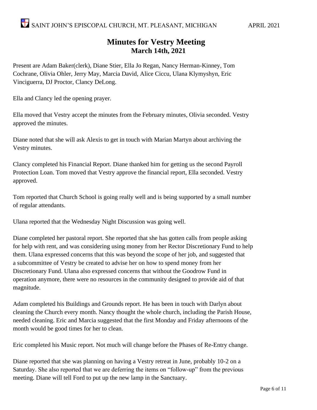#### **Minutes for Vestry Meeting March 14th, 2021**

Present are Adam Baker(clerk), Diane Stier, Ella Jo Regan, Nancy Herman-Kinney, Tom Cochrane, Olivia Ohler, Jerry May, Marcia David, Alice Ciccu, Ulana Klymyshyn, Eric Vinciguerra, DJ Proctor, Clancy DeLong.

Ella and Clancy led the opening prayer.

Ella moved that Vestry accept the minutes from the February minutes, Olivia seconded. Vestry approved the minutes.

Diane noted that she will ask Alexis to get in touch with Marian Martyn about archiving the Vestry minutes.

Clancy completed his Financial Report. Diane thanked him for getting us the second Payroll Protection Loan. Tom moved that Vestry approve the financial report, Ella seconded. Vestry approved.

Tom reported that Church School is going really well and is being supported by a small number of regular attendants.

Ulana reported that the Wednesday Night Discussion was going well.

Diane completed her pastoral report. She reported that she has gotten calls from people asking for help with rent, and was considering using money from her Rector Discretionary Fund to help them. Ulana expressed concerns that this was beyond the scope of her job, and suggested that a subcommittee of Vestry be created to advise her on how to spend money from her Discretionary Fund. Ulana also expressed concerns that without the Goodrow Fund in operation anymore, there were no resources in the community designed to provide aid of that magnitude.

Adam completed his Buildings and Grounds report. He has been in touch with Darlyn about cleaning the Church every month. Nancy thought the whole church, including the Parish House, needed cleaning. Eric and Marcia suggested that the first Monday and Friday afternoons of the month would be good times for her to clean.

Eric completed his Music report. Not much will change before the Phases of Re-Entry change.

Diane reported that she was planning on having a Vestry retreat in June, probably 10-2 on a Saturday. She also reported that we are deferring the items on "follow-up" from the previous meeting. Diane will tell Ford to put up the new lamp in the Sanctuary.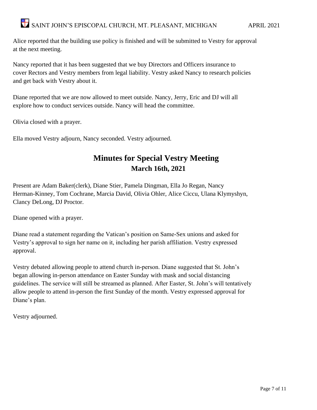Alice reported that the building use policy is finished and will be submitted to Vestry for approval at the next meeting.

Nancy reported that it has been suggested that we buy Directors and Officers insurance to cover Rectors and Vestry members from legal liability. Vestry asked Nancy to research policies and get back with Vestry about it.

Diane reported that we are now allowed to meet outside. Nancy, Jerry, Eric and DJ will all explore how to conduct services outside. Nancy will head the committee.

Olivia closed with a prayer.

Ella moved Vestry adjourn, Nancy seconded. Vestry adjourned.

## **Minutes for Special Vestry Meeting March 16th, 2021**

Present are Adam Baker(clerk), Diane Stier, Pamela Dingman, Ella Jo Regan, Nancy Herman-Kinney, Tom Cochrane, Marcia David, Olivia Ohler, Alice Ciccu, Ulana Klymyshyn, Clancy DeLong, DJ Proctor.

Diane opened with a prayer.

Diane read a statement regarding the Vatican's position on Same-Sex unions and asked for Vestry's approval to sign her name on it, including her parish affiliation. Vestry expressed approval.

Vestry debated allowing people to attend church in-person. Diane suggested that St. John's began allowing in-person attendance on Easter Sunday with mask and social distancing guidelines. The service will still be streamed as planned. After Easter, St. John's will tentatively allow people to attend in-person the first Sunday of the month. Vestry expressed approval for Diane's plan.

Vestry adjourned.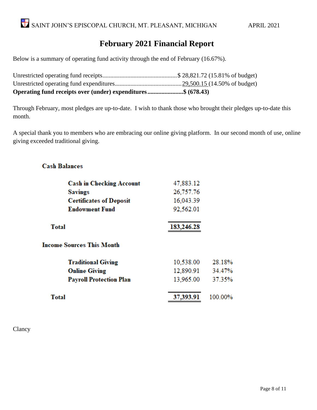#### **February 2021 Financial Report**

Below is a summary of operating fund activity through the end of February (16.67%).

Unrestricted operating fund receipts................................................\$ 28,821.72 (15.81% of budget) Unrestricted operating fund expenditures...........................................29,500.15 (14.50% of budget) **Operating fund receipts over (under) expenditures.......................\$ (678.43)**

Through February, most pledges are up-to-date. I wish to thank those who brought their pledges up-to-date this month.

A special thank you to members who are embracing our online giving platform. In our second month of use, online giving exceeded traditional giving.

#### **Cash Balances**

| <b>Cash in Checking Account</b>  | 47,883.12  |         |
|----------------------------------|------------|---------|
| <b>Savings</b>                   | 26,757.76  |         |
| <b>Certificates of Deposit</b>   | 16,043.39  |         |
| <b>Endowment Fund</b>            | 92,562.01  |         |
| <b>Total</b>                     | 183,246.28 |         |
| <b>Income Sources This Month</b> |            |         |
| <b>Traditional Giving</b>        | 10,538.00  | 28.18%  |
| <b>Online Giving</b>             | 12,890.91  | 34.47%  |
| <b>Payroll Protection Plan</b>   | 13,965.00  | 37.35%  |
| <b>Total</b>                     | 37,393.91  | 100.00% |

Clancy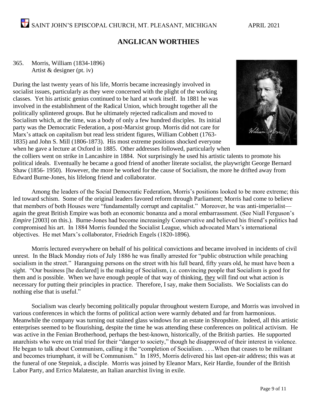#### **ANGLICAN WORTHIES**

#### 365. Morris, William (1834-1896) Artist & designer (pt. iv)

During the last twenty years of his life, Morris became increasingly involved in socialist issues, particularly as they were concerned with the plight of the working classes. Yet his artistic genius continued to be hard at work itself. In 1881 he was involved in the establishment of the Radical Union, which brought together all the politically splintered groups. But he ultimately rejected radicalism and moved to Socialism which, at the time, was a body of only a few hundred disciples. Its initial party was the Democratic Federation, a post-Marxist group. Morris did not care for Marx's attack on capitalism but read less strident figures, William Cobbett (1763- 1835) and John S. Mill (1806-1873). His most extreme positions shocked everyone when he gave a lecture at Oxford in 1885. Other addresses followed, particularly when



the colliers went on strike in Lancashire in 1884. Not surprisingly he used his artistic talents to promote his political ideals. Eventually he became a good friend of another literate socialist, the playwright George Bernard Shaw (1856- 1950). However, the more he worked for the cause of Socialism, the more he drifted away from Edward Burne-Jones, his lifelong friend and collaborator.

Among the leaders of the Social Democratic Federation, Morris's positions looked to be more extreme; this led toward schism. Some of the original leaders favored reform through Parliament; Morris had come to believe that members of both Houses were "fundamentally corrupt and capitalist." Moreover, he was anti-imperialist again the great British Empire was both an economic bonanza and a moral embarrassment. (See Niall Ferguson's *Empire* [2003] on this.). Burne-Jones had become increasingly Conservative and believed his friend's politics had compromised his art. In 1884 Morris founded the Socialist League, which advocated Marx's international objectives. He met Marx's collaborator, Friedrich Engels (1820-1896).

Morris lectured everywhere on behalf of his political convictions and became involved in incidents of civil unrest. In the Black Monday riots of July 1886 he was finally arrested for "public obstruction while preaching socialism in the street." Haranguing persons on the street with his full beard, fifty years old, he must have been a sight. "Our business [he declared] is the making of Socialism, i.e. convincing people that Socialism is good for them and is possible. When we have enough people of that way of thinking, they will find out what action is necessary for putting their principles in practice. Therefore, I say, make them Socialists. We Socialists can do nothing else that is useful."

Socialism was clearly becoming politically popular throughout western Europe, and Morris was involved in various conferences in which the forms of political action were warmly debated and far from harmonious. Meanwhile the company was turning out stained glass windows for an estate in Shropshire. Indeed, all this artistic enterprises seemed to be flourishing, despite the time he was attending these conferences on political activism. He was active in the Fenian Brotherhood, perhaps the best-known, historically, of the British parties. He supported anarchists who were on trial tried for their "danger to society," though he disapproved of their interest in violence. He began to talk about Communism, calling it the "completion of Socialism. . . ..When that ceases to be militant and becomes triumphant, it will be Communism." In 1895, Morris delivered his last open-air address; this was at the funeral of one Stepniuk, a disciple. Morris was joined by Eleanor Marx, Keir Hardie, founder of the British Labor Party, and Errico Malateste, an Italian anarchist living in exile.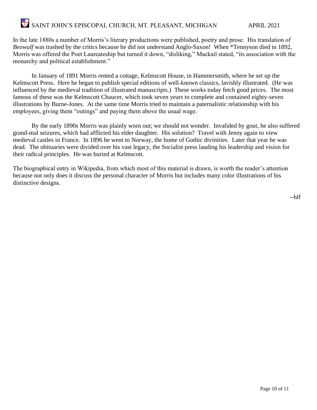# SAINT JOHN'S EPISCOPAL CHURCH, MT. PLEASANT, MICHIGAN APRIL 2021

In the late 1880s a number of Morris's literary productions were published, poetry and prose. His translation of *Beowulf* was trashed by the critics because he did not understand Anglo-Saxon! When \*Tennyson died in 1892, Morris was offered the Poet Laureateship but turned it down, "disliking," Mackail stated, "its association with the monarchy and political establishment."

In January of 1891 Morris rented a cottage, Kelmscott House, in Hammersmith, where he set up the Kelmscott Press. Here he began to publish special editions of well-known classics, lavishly illustrated. (He was influenced by the medieval tradition of illustrated manuscripts.) These works today fetch good prices. The most famous of these was the Kelmscott Chaucer, which took seven years to complete and contained eighty-seven illustrations by Burne-Jones. At the same time Morris tried to maintain a paternalistic relationship with his employees, giving them "outings" and paying them above the usual wage.

By the early 1890s Morris was plainly worn out; we should not wonder. Invalided by gout, he also suffered grand-mal seizures, which had afflicted his elder daughter. His solution? Travel with Jenny again to view medieval castles in France. In 1896 he went to Norway, the home of Gothic divinities. Later that year he was dead. The obituaries were divided over his vast legacy, the Socialist press lauding his leadership and vision for their radical principles. He was buried at Kelmscott.

The biographical entry in Wikipedia, from which most of this material is drawn, is worth the reader's attention because not only does it discuss the personal character of Morris but includes many color illustrations of his distinctive designs.